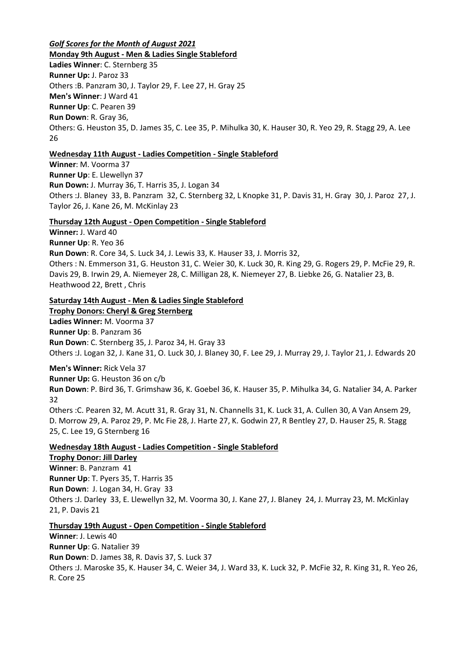# *Golf Scores for the Month of August 2021*

**Monday 9th August - Men & Ladies Single Stableford Ladies Winner**: C. Sternberg 35 **Runner Up:** J. Paroz 33 Others :B. Panzram 30, J. Taylor 29, F. Lee 27, H. Gray 25 **Men's Winner**: J Ward 41 **Runner Up**: C. Pearen 39 **Run Down**: R. Gray 36, Others: G. Heuston 35, D. James 35, C. Lee 35, P. Mihulka 30, K. Hauser 30, R. Yeo 29, R. Stagg 29, A. Lee 26

# **Wednesday 11th August - Ladies Competition - Single Stableford**

**Winner**: M. Voorma 37 **Runner Up**: E. Llewellyn 37 **Run Down:** J. Murray 36, T. Harris 35, J. Logan 34 Others :J. Blaney 33, B. Panzram 32, C. Sternberg 32, L Knopke 31, P. Davis 31, H. Gray 30, J. Paroz 27, J. Taylor 26, J. Kane 26, M. McKinlay 23

# **Thursday 12th August - Open Competition - Single Stableford**

**Winner:** J. Ward 40

**Runner Up**: R. Yeo 36

**Run Down**: R. Core 34, S. Luck 34, J. Lewis 33, K. Hauser 33, J. Morris 32,

Others : N. Emmerson 31, G. Heuston 31, C. Weier 30, K. Luck 30, R. King 29, G. Rogers 29, P. McFie 29, R. Davis 29, B. Irwin 29, A. Niemeyer 28, C. Milligan 28, K. Niemeyer 27, B. Liebke 26, G. Natalier 23, B. Heathwood 22, Brett , Chris

# **Saturday 14th August - Men & Ladies Single Stableford**

**Trophy Donors: Cheryl & Greg Sternberg Ladies Winner:** M. Voorma 37 **Runner Up**: B. Panzram 36 **Run Down**: C. Sternberg 35, J. Paroz 34, H. Gray 33 Others :J. Logan 32, J. Kane 31, O. Luck 30, J. Blaney 30, F. Lee 29, J. Murray 29, J. Taylor 21, J. Edwards 20

**Men's Winner:** Rick Vela 37 **Runner Up:** G. Heuston 36 on c/b **Run Down**: P. Bird 36, T. Grimshaw 36, K. Goebel 36, K. Hauser 35, P. Mihulka 34, G. Natalier 34, A. Parker 32 Others :C. Pearen 32, M. Acutt 31, R. Gray 31, N. Channells 31, K. Luck 31, A. Cullen 30, A Van Ansem 29, D. Morrow 29, A. Paroz 29, P. Mc Fie 28, J. Harte 27, K. Godwin 27, R Bentley 27, D. Hauser 25, R. Stagg 25, C. Lee 19, G Sternberg 16

# **Wednesday 18th August - Ladies Competition - Single Stableford**

**Trophy Donor: Jill Darley Winner**: B. Panzram 41 **Runner Up**: T. Pyers 35, T. Harris 35 **Run Down**: J. Logan 34, H. Gray 33 Others :J. Darley 33, E. Llewellyn 32, M. Voorma 30, J. Kane 27, J. Blaney 24, J. Murray 23, M. McKinlay 21, P. Davis 21

## **Thursday 19th August - Open Competition - Single Stableford**

**Winner**: J. Lewis 40 **Runner Up**: G. Natalier 39 **Run Down**: D. James 38, R. Davis 37, S. Luck 37 Others :J. Maroske 35, K. Hauser 34, C. Weier 34, J. Ward 33, K. Luck 32, P. McFie 32, R. King 31, R. Yeo 26, R. Core 25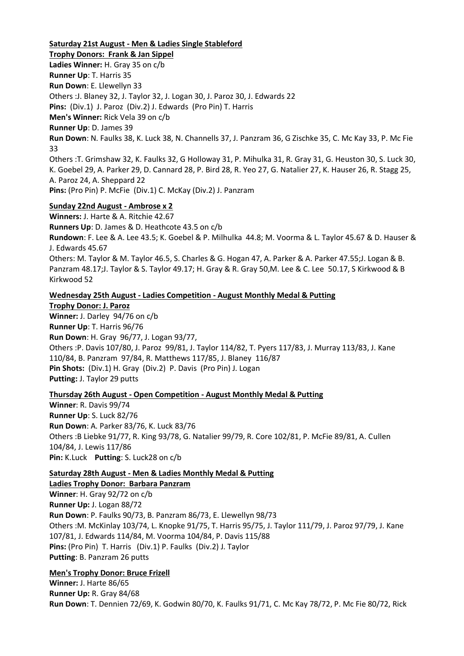#### **Saturday 21st August - Men & Ladies Single Stableford**

**Trophy Donors: Frank & Jan Sippel Ladies Winner:** H. Gray 35 on c/b **Runner Up**: T. Harris 35 **Run Down**: E. Llewellyn 33 Others :J. Blaney 32, J. Taylor 32, J. Logan 30, J. Paroz 30, J. Edwards 22 **Pins:** (Div.1) J. Paroz (Div.2) J. Edwards (Pro Pin) T. Harris **Men's Winner:** Rick Vela 39 on c/b **Runner Up**: D. James 39 **Run Down**: N. Faulks 38, K. Luck 38, N. Channells 37, J. Panzram 36, G Zischke 35, C. Mc Kay 33, P. Mc Fie 33 Others :T. Grimshaw 32, K. Faulks 32, G Holloway 31, P. Mihulka 31, R. Gray 31, G. Heuston 30, S. Luck 30, K. Goebel 29, A. Parker 29, D. Cannard 28, P. Bird 28, R. Yeo 27, G. Natalier 27, K. Hauser 26, R. Stagg 25, A. Paroz 24, A. Sheppard 22 **Pins:** (Pro Pin) P. McFie (Div.1) C. McKay (Div.2) J. Panzram

#### **Sunday 22nd August - Ambrose x 2**

**Winners:** J. Harte & A. Ritchie 42.67 **Runners Up**: D. James & D. Heathcote 43.5 on c/b

**Rundown**: F. Lee & A. Lee 43.5; K. Goebel & P. Milhulka 44.8; M. Voorma & L. Taylor 45.67 & D. Hauser & J. Edwards 45.67

Others: M. Taylor & M. Taylor 46.5, S. Charles & G. Hogan 47, A. Parker & A. Parker 47.55;J. Logan & B. Panzram 48.17;J. Taylor & S. Taylor 49.17; H. Gray & R. Gray 50,M. Lee & C. Lee 50.17, S Kirkwood & B Kirkwood 52

#### **Wednesday 25th August - Ladies Competition - August Monthly Medal & Putting**

**Trophy Donor: J. Paroz Winner:** J. Darley 94/76 on c/b **Runner Up**: T. Harris 96/76 **Run Down**: H. Gray 96/77, J. Logan 93/77, Others :P. Davis 107/80, J. Paroz 99/81, J. Taylor 114/82, T. Pyers 117/83, J. Murray 113/83, J. Kane 110/84, B. Panzram 97/84, R. Matthews 117/85, J. Blaney 116/87 **Pin Shots:** (Div.1) H. Gray (Div.2) P. Davis (Pro Pin) J. Logan

**Putting:** J. Taylor 29 putts

#### **Thursday 26th August - Open Competition - August Monthly Medal & Putting**

**Winner**: R. Davis 99/74 **Runner Up**: S. Luck 82/76 **Run Down**: A. Parker 83/76, K. Luck 83/76 Others :B Liebke 91/77, R. King 93/78, G. Natalier 99/79, R. Core 102/81, P. McFie 89/81, A. Cullen 104/84, J. Lewis 117/86 **Pin:** K.Luck **Putting**: S. Luck28 on c/b

## **Saturday 28th August - Men & Ladies Monthly Medal & Putting**

**Ladies Trophy Donor: Barbara Panzram**

**Winner**: H. Gray 92/72 on c/b **Runner Up:** J. Logan 88/72 **Run Down**: P. Faulks 90/73, B. Panzram 86/73, E. Llewellyn 98/73 Others :M. McKinlay 103/74, L. Knopke 91/75, T. Harris 95/75, J. Taylor 111/79, J. Paroz 97/79, J. Kane 107/81, J. Edwards 114/84, M. Voorma 104/84, P. Davis 115/88 **Pins:** (Pro Pin) T. Harris (Div.1) P. Faulks (Div.2) J. Taylor **Putting**: B. Panzram 26 putts

#### **Men's Trophy Donor: Bruce Frizell**

**Winner:** J. Harte 86/65 **Runner Up:** R. Gray 84/68 **Run Down**: T. Dennien 72/69, K. Godwin 80/70, K. Faulks 91/71, C. Mc Kay 78/72, P. Mc Fie 80/72, Rick